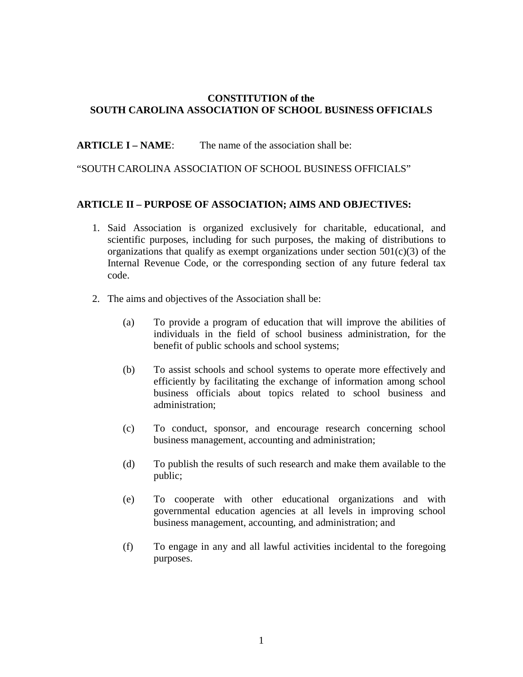## **CONSTITUTION of the SOUTH CAROLINA ASSOCIATION OF SCHOOL BUSINESS OFFICIALS**

**ARTICLE I – NAME:** The name of the association shall be:

## "SOUTH CAROLINA ASSOCIATION OF SCHOOL BUSINESS OFFICIALS"

## **ARTICLE II – PURPOSE OF ASSOCIATION; AIMS AND OBJECTIVES:**

- 1. Said Association is organized exclusively for charitable, educational, and scientific purposes, including for such purposes, the making of distributions to organizations that qualify as exempt organizations under section  $501(c)(3)$  of the Internal Revenue Code, or the corresponding section of any future federal tax code.
- 2. The aims and objectives of the Association shall be:
	- (a) To provide a program of education that will improve the abilities of individuals in the field of school business administration, for the benefit of public schools and school systems;
	- (b) To assist schools and school systems to operate more effectively and efficiently by facilitating the exchange of information among school business officials about topics related to school business and administration;
	- (c) To conduct, sponsor, and encourage research concerning school business management, accounting and administration;
	- (d) To publish the results of such research and make them available to the public;
	- (e) To cooperate with other educational organizations and with governmental education agencies at all levels in improving school business management, accounting, and administration; and
	- (f) To engage in any and all lawful activities incidental to the foregoing purposes.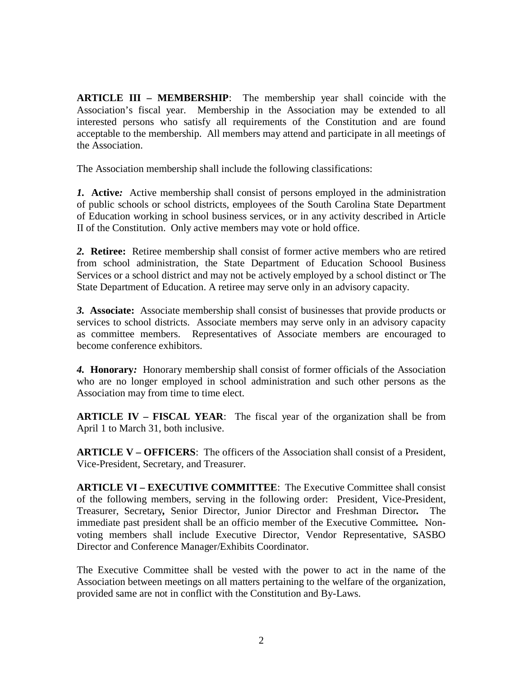**ARTICLE III – MEMBERSHIP**: The membership year shall coincide with the Association's fiscal year. Membership in the Association may be extended to all interested persons who satisfy all requirements of the Constitution and are found acceptable to the membership. All members may attend and participate in all meetings of the Association.

The Association membership shall include the following classifications:

*1.* **Active***:* Active membership shall consist of persons employed in the administration of public schools or school districts, employees of the South Carolina State Department of Education working in school business services, or in any activity described in Article II of the Constitution. Only active members may vote or hold office.

*2.* **Retiree:** Retiree membership shall consist of former active members who are retired from school administration, the State Department of Education Schoool Business Services or a school district and may not be actively employed by a school distinct or The State Department of Education. A retiree may serve only in an advisory capacity.

*3.* **Associate:** Associate membership shall consist of businesses that provide products or services to school districts. Associate members may serve only in an advisory capacity as committee members. Representatives of Associate members are encouraged to become conference exhibitors.

*4.* **Honorary***:* Honorary membership shall consist of former officials of the Association who are no longer employed in school administration and such other persons as the Association may from time to time elect.

**ARTICLE IV – FISCAL YEAR**: The fiscal year of the organization shall be from April 1 to March 31, both inclusive.

**ARTICLE V – OFFICERS**: The officers of the Association shall consist of a President, Vice-President, Secretary, and Treasurer.

**ARTICLE VI – EXECUTIVE COMMITTEE**: The Executive Committee shall consist of the following members, serving in the following order: President, Vice-President, Treasurer, Secretary*,* Senior Director, Junior Director and Freshman Director*.* The immediate past president shall be an officio member of the Executive Committee*.* Nonvoting members shall include Executive Director, Vendor Representative, SASBO Director and Conference Manager/Exhibits Coordinator.

The Executive Committee shall be vested with the power to act in the name of the Association between meetings on all matters pertaining to the welfare of the organization, provided same are not in conflict with the Constitution and By-Laws.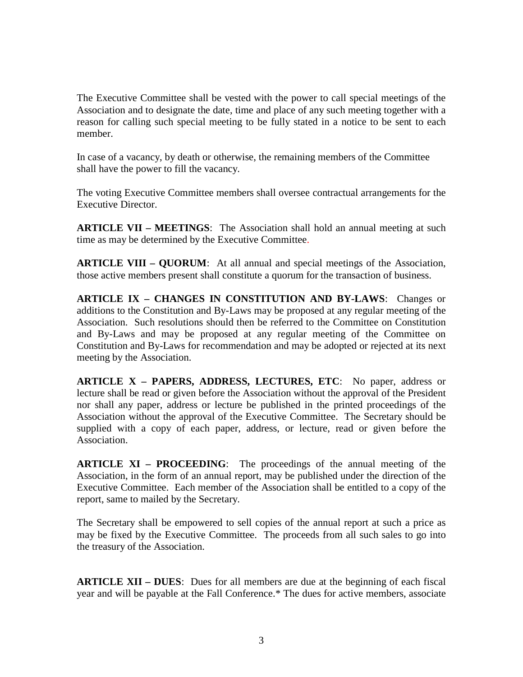The Executive Committee shall be vested with the power to call special meetings of the Association and to designate the date, time and place of any such meeting together with a reason for calling such special meeting to be fully stated in a notice to be sent to each member.

In case of a vacancy, by death or otherwise, the remaining members of the Committee shall have the power to fill the vacancy.

The voting Executive Committee members shall oversee contractual arrangements for the Executive Director.

**ARTICLE VII – MEETINGS**: The Association shall hold an annual meeting at such time as may be determined by the Executive Committee.

**ARTICLE VIII – QUORUM**: At all annual and special meetings of the Association, those active members present shall constitute a quorum for the transaction of business.

**ARTICLE IX – CHANGES IN CONSTITUTION AND BY-LAWS**: Changes or additions to the Constitution and By-Laws may be proposed at any regular meeting of the Association. Such resolutions should then be referred to the Committee on Constitution and By-Laws and may be proposed at any regular meeting of the Committee on Constitution and By-Laws for recommendation and may be adopted or rejected at its next meeting by the Association.

**ARTICLE X – PAPERS, ADDRESS, LECTURES, ETC**: No paper, address or lecture shall be read or given before the Association without the approval of the President nor shall any paper, address or lecture be published in the printed proceedings of the Association without the approval of the Executive Committee. The Secretary should be supplied with a copy of each paper, address, or lecture, read or given before the Association.

**ARTICLE XI – PROCEEDING**: The proceedings of the annual meeting of the Association, in the form of an annual report, may be published under the direction of the Executive Committee. Each member of the Association shall be entitled to a copy of the report, same to mailed by the Secretary.

The Secretary shall be empowered to sell copies of the annual report at such a price as may be fixed by the Executive Committee. The proceeds from all such sales to go into the treasury of the Association.

**ARTICLE XII – DUES**: Dues for all members are due at the beginning of each fiscal year and will be payable at the Fall Conference.\* The dues for active members, associate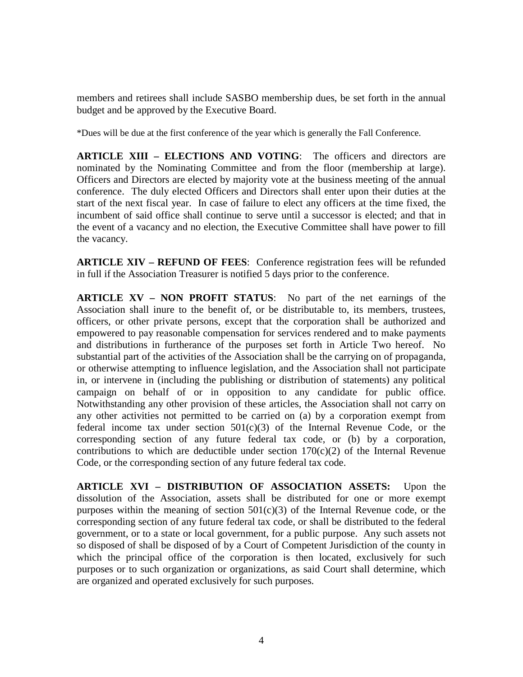members and retirees shall include SASBO membership dues, be set forth in the annual budget and be approved by the Executive Board.

\*Dues will be due at the first conference of the year which is generally the Fall Conference.

**ARTICLE XIII – ELECTIONS AND VOTING**: The officers and directors are nominated by the Nominating Committee and from the floor (membership at large). Officers and Directors are elected by majority vote at the business meeting of the annual conference. The duly elected Officers and Directors shall enter upon their duties at the start of the next fiscal year. In case of failure to elect any officers at the time fixed, the incumbent of said office shall continue to serve until a successor is elected; and that in the event of a vacancy and no election, the Executive Committee shall have power to fill the vacancy.

**ARTICLE XIV – REFUND OF FEES**: Conference registration fees will be refunded in full if the Association Treasurer is notified 5 days prior to the conference.

**ARTICLE XV – NON PROFIT STATUS**: No part of the net earnings of the Association shall inure to the benefit of, or be distributable to, its members, trustees, officers, or other private persons, except that the corporation shall be authorized and empowered to pay reasonable compensation for services rendered and to make payments and distributions in furtherance of the purposes set forth in Article Two hereof. No substantial part of the activities of the Association shall be the carrying on of propaganda, or otherwise attempting to influence legislation, and the Association shall not participate in, or intervene in (including the publishing or distribution of statements) any political campaign on behalf of or in opposition to any candidate for public office. Notwithstanding any other provision of these articles, the Association shall not carry on any other activities not permitted to be carried on (a) by a corporation exempt from federal income tax under section  $501(c)(3)$  of the Internal Revenue Code, or the corresponding section of any future federal tax code, or (b) by a corporation, contributions to which are deductible under section  $170(c)(2)$  of the Internal Revenue Code, or the corresponding section of any future federal tax code.

**ARTICLE XVI – DISTRIBUTION OF ASSOCIATION ASSETS:** Upon the dissolution of the Association, assets shall be distributed for one or more exempt purposes within the meaning of section  $501(c)(3)$  of the Internal Revenue code, or the corresponding section of any future federal tax code, or shall be distributed to the federal government, or to a state or local government, for a public purpose. Any such assets not so disposed of shall be disposed of by a Court of Competent Jurisdiction of the county in which the principal office of the corporation is then located, exclusively for such purposes or to such organization or organizations, as said Court shall determine, which are organized and operated exclusively for such purposes.